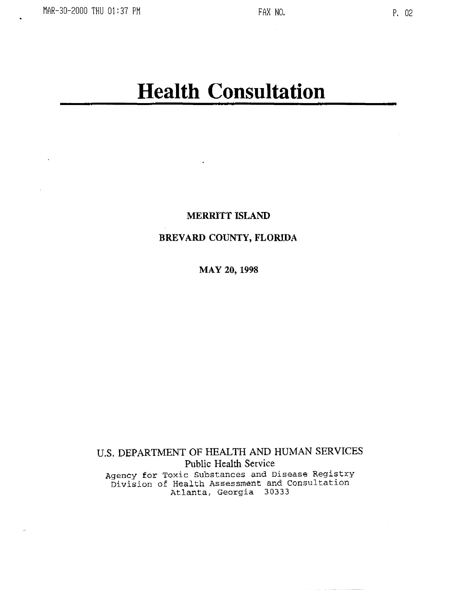# **Health Consultation**

### MERRITT ISLAND

## BREVARD COUNTY, FLORIDA

MAY 20,1998

U.S. DEPARTMENT OF HEALTH AND HUMAN SERVICES Public Health Service Agency for Toxic Substances and Disease Registry Division of Health Assessment and Consultation Atlanta, Georgia 30333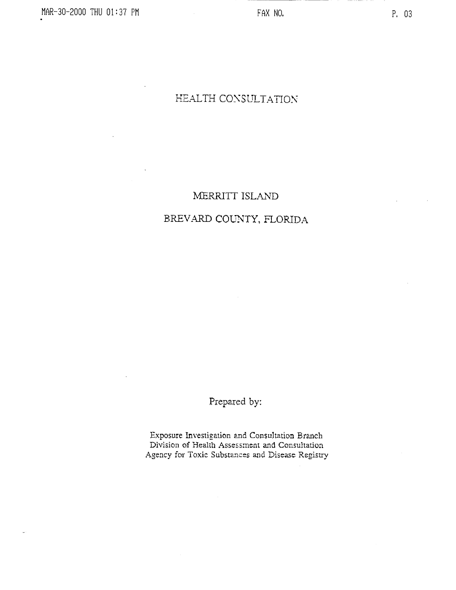## HEALTH CONSULTATION

## :MERRITT ISLAND

## BREVARD COUNTY, FLORIDA

Prepared by:

Exposure Investigation and Consultation Branch Division of Health Assessment and Consultation Agency for Toxic Substances and Disease Registry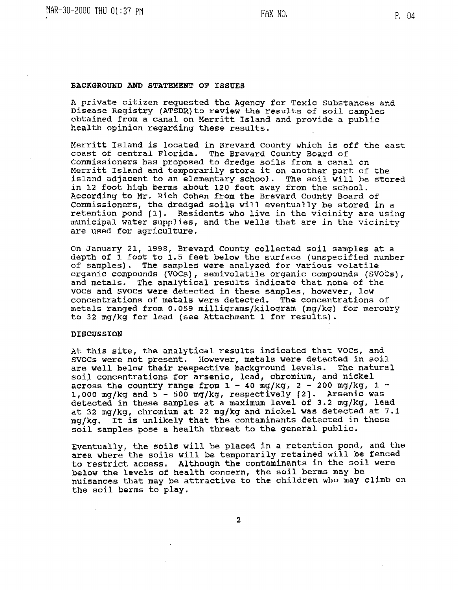#### BACKGROUND AND STATEMENT OF ISSUES

A private citizen requested the Agency for Toxic Substances and Disease Registry (ATSDR)to review the results of soil samples obtained from a canal on Merritt Island and provide a public health opinion regarding these results.

Merritt Island is located in Brevard county which is off the east coast of central Florida. The Brevard County Board of Commissioners has proposed to dredge soils from a canal on Merritt Island and temporarily store it on another part of the island adjacent to an elementary school. The soil will be stored in 12 foot high berms about 120 feet away from the school. According to Mr. Rich Cohen from the Brevard county Board of Commissioners, the dredged soils will eventually be stored in a retention pond (1]. Residents who live in the vicinity are using municipal water supplies, and the wells that are in the vicinity are used for agriculture.

On January 21, 1998, Brevard county collected soil samples at <sup>a</sup> depth of 1 foot to 1.5 feet below the surface (unspecified number of samples). The samples were analyzed for various volatile organic compounds (VOCs), semivolatile organic compounds (SVOCs), and metals. The analytical results indicate that none of the VOCS and SVOCS were detected in these samples, however, low concentrations of metals were detected. metals ranged from 0.059 milligrams/kilogram (mg/kg) for mercury to 32 mg/kg for lead (see Attachment 1 for results).

#### DISCUSSION

At this site, the analytical results indicated that vocs, and SVOCs were not present. However, metals were detected in soil are well below their respective background levels. The natural soil concentrations for arsenic, lead, chromium, and nickel across the country range from  $1 - 40$  mg/kg,  $2 - 200$  mg/kg,  $1 -$ 1,000 mg/kg and  $5 - 500$  mg/kg, respectively  $[2]$ . Arsenic was detected in these samples at a maximum level of 3.2 mg/kg, lead at 32 mg/kg, chromium at 22 mg/kg and nickel was detected at 7.1 mg/kg. It is unlikely that the contaminants detected in these soil samples pose a health threat to the general public.

Eventually, the soils will be placed in a retention pond, and the area where the soils will be temporarily retained will be fenced to restrict access. Although the contaminants in the soil were below the levels of health concern, the soil berms may be nuisances that may be attractive to the children who may climb on the soil berms to play.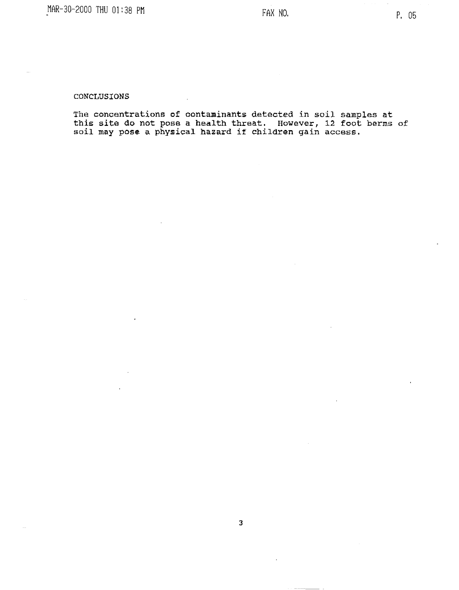#### CONCLUS10NS

The concentrations of contaminants detected in soil samples at this site do not pose a health threat. However, 12 foot berms of soil may pose a physical hazard if children gain access.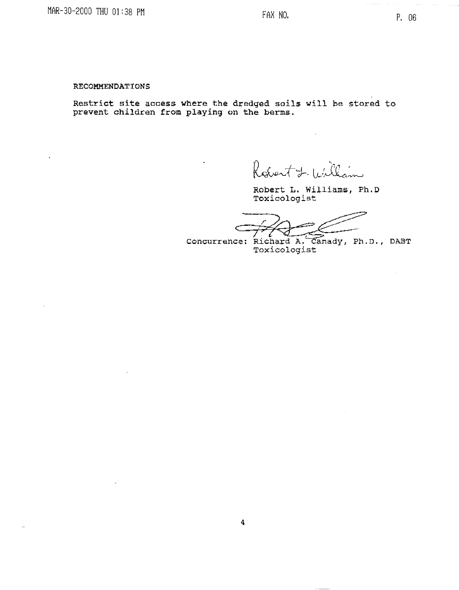#### RECOMMENDATIONS

Restrict site access where the dredged soils will be stored to prevent children from playing on the berms.

Robert J. William

Robert L. Williams, Ph.D Toxicologist

Concurrence: Richard A. Canady, Ph.D., DABT Toxicologist